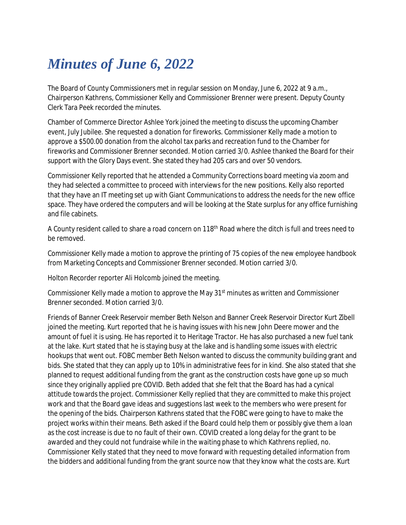## *Minutes of June 6, 2022*

The Board of County Commissioners met in regular session on Monday, June 6, 2022 at 9 a.m., Chairperson Kathrens, Commissioner Kelly and Commissioner Brenner were present. Deputy County Clerk Tara Peek recorded the minutes.

Chamber of Commerce Director Ashlee York joined the meeting to discuss the upcoming Chamber event, July Jubilee. She requested a donation for fireworks. Commissioner Kelly made a motion to approve a \$500.00 donation from the alcohol tax parks and recreation fund to the Chamber for fireworks and Commissioner Brenner seconded. Motion carried 3/0. Ashlee thanked the Board for their support with the Glory Days event. She stated they had 205 cars and over 50 vendors.

Commissioner Kelly reported that he attended a Community Corrections board meeting via zoom and they had selected a committee to proceed with interviews for the new positions. Kelly also reported that they have an IT meeting set up with Giant Communications to address the needs for the new office space. They have ordered the computers and will be looking at the State surplus for any office furnishing and file cabinets.

A County resident called to share a road concern on 118<sup>th</sup> Road where the ditch is full and trees need to be removed.

Commissioner Kelly made a motion to approve the printing of 75 copies of the new employee handbook from Marketing Concepts and Commissioner Brenner seconded. Motion carried 3/0.

Holton Recorder reporter Ali Holcomb joined the meeting.

Commissioner Kelly made a motion to approve the May 31st minutes as written and Commissioner Brenner seconded. Motion carried 3/0.

Friends of Banner Creek Reservoir member Beth Nelson and Banner Creek Reservoir Director Kurt Zibell joined the meeting. Kurt reported that he is having issues with his new John Deere mower and the amount of fuel it is using. He has reported it to Heritage Tractor. He has also purchased a new fuel tank at the lake. Kurt stated that he is staying busy at the lake and is handling some issues with electric hookups that went out. FOBC member Beth Nelson wanted to discuss the community building grant and bids. She stated that they can apply up to 10% in administrative fees for in kind. She also stated that she planned to request additional funding from the grant as the construction costs have gone up so much since they originally applied pre COVID. Beth added that she felt that the Board has had a cynical attitude towards the project. Commissioner Kelly replied that they are committed to make this project work and that the Board gave ideas and suggestions last week to the members who were present for the opening of the bids. Chairperson Kathrens stated that the FOBC were going to have to make the project works within their means. Beth asked if the Board could help them or possibly give them a loan as the cost increase is due to no fault of their own. COVID created a long delay for the grant to be awarded and they could not fundraise while in the waiting phase to which Kathrens replied, no. Commissioner Kelly stated that they need to move forward with requesting detailed information from the bidders and additional funding from the grant source now that they know what the costs are. Kurt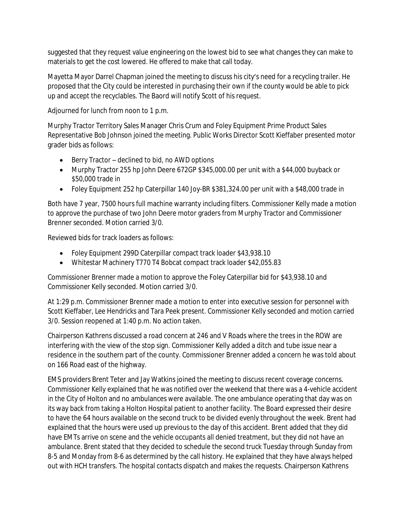suggested that they request value engineering on the lowest bid to see what changes they can make to materials to get the cost lowered. He offered to make that call today.

Mayetta Mayor Darrel Chapman joined the meeting to discuss his city's need for a recycling trailer. He proposed that the City could be interested in purchasing their own if the county would be able to pick up and accept the recyclables. The Baord will notify Scott of his request.

Adjourned for lunch from noon to 1 p.m.

Murphy Tractor Territory Sales Manager Chris Crum and Foley Equipment Prime Product Sales Representative Bob Johnson joined the meeting. Public Works Director Scott Kieffaber presented motor grader bids as follows:

- $\bullet$  Berry Tractor declined to bid, no AWD options
- Murphy Tractor 255 hp John Deere 672GP \$345,000.00 per unit with a \$44,000 buyback or \$50,000 trade in
- Foley Equipment 252 hp Caterpillar 140 Joy-BR \$381,324.00 per unit with a \$48,000 trade in

Both have 7 year, 7500 hours full machine warranty including filters. Commissioner Kelly made a motion to approve the purchase of two John Deere motor graders from Murphy Tractor and Commissioner Brenner seconded. Motion carried 3/0.

Reviewed bids for track loaders as follows:

- Foley Equipment 299D Caterpillar compact track loader \$43,938.10
- Whitestar Machinery T770 T4 Bobcat compact track loader \$42,055.83

Commissioner Brenner made a motion to approve the Foley Caterpillar bid for \$43,938.10 and Commissioner Kelly seconded. Motion carried 3/0.

At 1:29 p.m. Commissioner Brenner made a motion to enter into executive session for personnel with Scott Kieffaber, Lee Hendricks and Tara Peek present. Commissioner Kelly seconded and motion carried 3/0. Session reopened at 1:40 p.m. No action taken.

Chairperson Kathrens discussed a road concern at 246 and V Roads where the trees in the ROW are interfering with the view of the stop sign. Commissioner Kelly added a ditch and tube issue near a residence in the southern part of the county. Commissioner Brenner added a concern he was told about on 166 Road east of the highway.

EMS providers Brent Teter and Jay Watkins joined the meeting to discuss recent coverage concerns. Commissioner Kelly explained that he was notified over the weekend that there was a 4-vehicle accident in the City of Holton and no ambulances were available. The one ambulance operating that day was on its way back from taking a Holton Hospital patient to another facility. The Board expressed their desire to have the 64 hours available on the second truck to be divided evenly throughout the week. Brent had explained that the hours were used up previous to the day of this accident. Brent added that they did have EMTs arrive on scene and the vehicle occupants all denied treatment, but they did not have an ambulance. Brent stated that they decided to schedule the second truck Tuesday through Sunday from 8-5 and Monday from 8-6 as determined by the call history. He explained that they have always helped out with HCH transfers. The hospital contacts dispatch and makes the requests. Chairperson Kathrens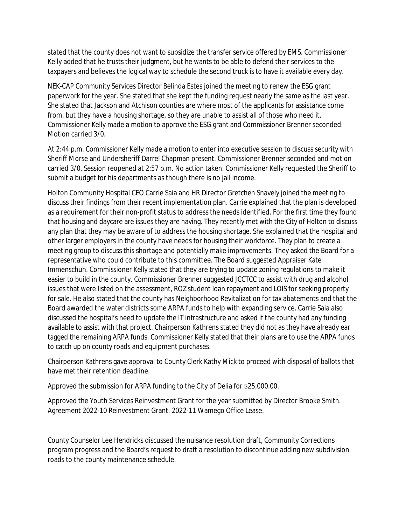stated that the county does not want to subsidize the transfer service offered by EMS. Commissioner Kelly added that he trusts their judgment, but he wants to be able to defend their services to the taxpayers and believes the logical way to schedule the second truck is to have it available every day.

NEK-CAP Community Services Director Belinda Estes joined the meeting to renew the ESG grant paperwork for the year. She stated that she kept the funding request nearly the same as the last year. She stated that Jackson and Atchison counties are where most of the applicants for assistance come from, but they have a housing shortage, so they are unable to assist all of those who need it. Commissioner Kelly made a motion to approve the ESG grant and Commissioner Brenner seconded. Motion carried 3/0.

At 2:44 p.m. Commissioner Kelly made a motion to enter into executive session to discuss security with Sheriff Morse and Undersheriff Darrel Chapman present. Commissioner Brenner seconded and motion carried 3/0. Session reopened at 2:57 p.m. No action taken. Commissioner Kelly requested the Sheriff to submit a budget for his departments as though there is no jail income.

Holton Community Hospital CEO Carrie Saia and HR Director Gretchen Snavely joined the meeting to discuss their findings from their recent implementation plan. Carrie explained that the plan is developed as a requirement for their non-profit status to address the needs identified. For the first time they found that housing and daycare are issues they are having. They recently met with the City of Holton to discuss any plan that they may be aware of to address the housing shortage. She explained that the hospital and other larger employers in the county have needs for housing their workforce. They plan to create a meeting group to discuss this shortage and potentially make improvements. They asked the Board for a representative who could contribute to this committee. The Board suggested Appraiser Kate Immenschuh. Commissioner Kelly stated that they are trying to update zoning regulations to make it easier to build in the county. Commissioner Brenner suggested JCCTCC to assist with drug and alcohol issues that were listed on the assessment, ROZ student loan repayment and LOIS for seeking property for sale. He also stated that the county has Neighborhood Revitalization for tax abatements and that the Board awarded the water districts some ARPA funds to help with expanding service. Carrie Saia also discussed the hospital's need to update the IT infrastructure and asked if the county had any funding available to assist with that project. Chairperson Kathrens stated they did not as they have already ear tagged the remaining ARPA funds. Commissioner Kelly stated that their plans are to use the ARPA funds to catch up on county roads and equipment purchases.

Chairperson Kathrens gave approval to County Clerk Kathy Mick to proceed with disposal of ballots that have met their retention deadline.

Approved the submission for ARPA funding to the City of Delia for \$25,000.00.

Approved the Youth Services Reinvestment Grant for the year submitted by Director Brooke Smith. Agreement 2022-10 Reinvestment Grant. 2022-11 Wamego Office Lease.

County Counselor Lee Hendricks discussed the nuisance resolution draft, Community Corrections program progress and the Board's request to draft a resolution to discontinue adding new subdivision roads to the county maintenance schedule.